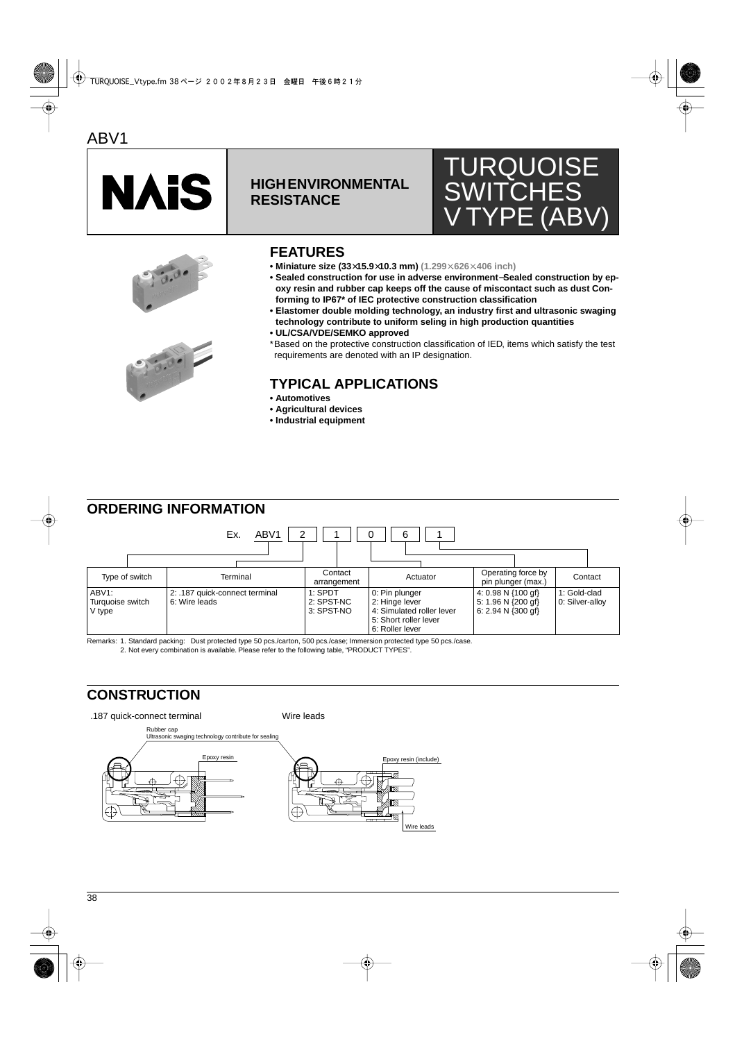

## **HIGH ENVIRONMENTAL RESISTANCE**







## **FEATURES**

- **Miniature size (33**×**15.9**×**10.3 mm) (1.299**×**.626**×**.406 inch)**
- **Sealed construction for use in adverse environment**−**Sealed construction by epoxy resin and rubber cap keeps off the cause of miscontact such as dust Conforming to IP67\* of IEC protective construction classification**
- **Elastomer double molding technology, an industry first and ultrasonic swaging technology contribute to uniform seling in high production quantities**
- **UL/CSA/VDE/SEMKO approved**
- \*Based on the protective construction classification of IED, items which satisfy the test requirements are denoted with an IP designation.

# **TYPICAL APPLICATIONS**

- **Automotives**
- **Agricultural devices**
- **Industrial equipment**

## **ORDERING INFORMATION**



Remarks: 1. Standard packing: Dust protected type 50 pcs./carton, 500 pcs./case; Immersion protected type 50 pcs./case.

2. Not every combination is available. Please refer to the following table, "PRODUCT TYPES".

## **CONSTRUCTION**

.187 quick-connect terminal Wire leads

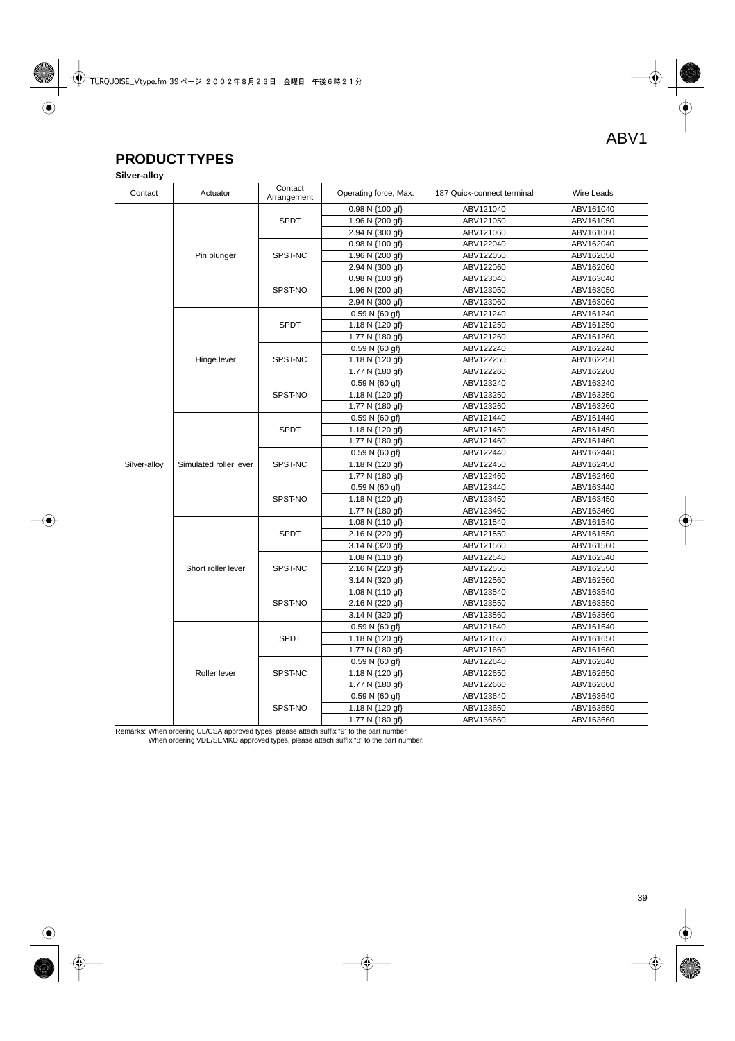# **PRODUCT TYPES**

**Silver-alloy**

| Contact      | Actuator               | Contact<br>Arrangement | Operating force, Max. | 187 Quick-connect terminal | <b>Wire Leads</b> |
|--------------|------------------------|------------------------|-----------------------|----------------------------|-------------------|
|              |                        |                        | 0.98 N {100 gf}       | ABV121040                  | ABV161040         |
|              |                        | <b>SPDT</b>            | 1.96 N {200 gf}       | ABV121050                  | ABV161050         |
|              |                        |                        | 2.94 N {300 gf}       | ABV121060                  | ABV161060         |
|              |                        |                        | 0.98 N {100 gf}       | ABV122040                  | ABV162040         |
|              | Pin plunger            | SPST-NC                | 1.96 N {200 gf}       | ABV122050                  | ABV162050         |
|              |                        |                        | 2.94 N {300 gf}       | ABV122060                  | ABV162060         |
|              |                        |                        | 0.98 N {100 gf}       | ABV123040                  | ABV163040         |
|              |                        | SPST-NO                | 1.96 N {200 gf}       | ABV123050                  | ABV163050         |
|              |                        |                        | 2.94 N {300 gf}       | ABV123060                  | ABV163060         |
|              |                        |                        | $0.59 N \{60 gf\}$    | ABV121240                  | ABV161240         |
|              |                        | SPDT                   | 1.18 N {120 gf}       | ABV121250                  | ABV161250         |
|              |                        |                        | 1.77 N {180 gf}       | ABV121260                  | ABV161260         |
|              |                        |                        | $0.59 N \{60 gf\}$    | ABV122240                  | ABV162240         |
|              | Hinge lever            | SPST-NC                | 1.18 N {120 gf}       | ABV122250                  | ABV162250         |
|              |                        |                        | 1.77 N {180 gf}       | ABV122260                  | ABV162260         |
|              |                        |                        | $0.59 N \{60 gf\}$    | ABV123240                  | ABV163240         |
|              |                        | SPST-NO                | 1.18 N {120 gf}       | ABV123250                  | ABV163250         |
|              |                        |                        | 1.77 N {180 gf}       | ABV123260                  | ABV163260         |
|              |                        |                        | $0.59 N \{60 gf\}$    | ABV121440                  | ABV161440         |
|              | Simulated roller lever | <b>SPDT</b>            | 1.18 N {120 gf}       | ABV121450                  | ABV161450         |
|              |                        |                        | 1.77 N {180 gf}       | ABV121460                  | ABV161460         |
|              |                        |                        | 0.59 N {60 gf}        | ABV122440                  | ABV162440         |
| Silver-alloy |                        | SPST-NC                | 1.18 N {120 gf}       | ABV122450                  | ABV162450         |
|              |                        |                        | 1.77 N {180 gf}       | ABV122460                  | ABV162460         |
|              |                        |                        | $0.59 N \{60 gf\}$    | ABV123440                  | ABV163440         |
|              |                        | SPST-NO                | 1.18 N {120 gf}       | ABV123450                  | ABV163450         |
|              |                        |                        | 1.77 N {180 gf}       | ABV123460                  | ABV163460         |
|              | Short roller lever     | <b>SPDT</b>            | 1.08 N {110 gf}       | ABV121540                  | ABV161540         |
|              |                        |                        | 2.16 N {220 gf}       | ABV121550                  | ABV161550         |
|              |                        |                        | 3.14 N {320 gf}       | ABV121560                  | ABV161560         |
|              |                        | SPST-NC                | 1.08 N {110 gf}       | ABV122540                  | ABV162540         |
|              |                        |                        | 2.16 N {220 gf}       | ABV122550                  | ABV162550         |
|              |                        |                        | 3.14 N {320 gf}       | ABV122560                  | ABV162560         |
|              |                        | SPST-NO                | 1.08 N {110 gf}       | ABV123540                  | ABV163540         |
|              |                        |                        | 2.16 N {220 gf}       | ABV123550                  | ABV163550         |
|              |                        |                        | 3.14 N {320 gf}       | ABV123560                  | ABV163560         |
|              | Roller lever           | <b>SPDT</b>            | 0.59 N {60 gf}        | ABV121640                  | ABV161640         |
|              |                        |                        | 1.18 N {120 gf}       | ABV121650                  | ABV161650         |
|              |                        |                        | 1.77 N {180 gf}       | ABV121660                  | ABV161660         |
|              |                        |                        | $0.59 N \{60 gf\}$    | ABV122640                  | ABV162640         |
|              |                        | SPST-NC                | 1.18 N {120 gf}       | ABV122650                  | ABV162650         |
|              |                        |                        | 1.77 N {180 gf}       | ABV122660                  | ABV162660         |
|              |                        | SPST-NO                | 0.59 N {60 gf}        | ABV123640                  | ABV163640         |
|              |                        |                        | 1.18 N {120 gf}       | ABV123650                  | ABV163650         |
|              |                        |                        | 1.77 N {180 gf}       | ABV136660                  | ABV163660         |

Remarks: When ordering UL/CSA approved types, please attach suffix "9" to the part number.

When ordering VDE/SEMKO approved types, please attach suffix "8" to the part number.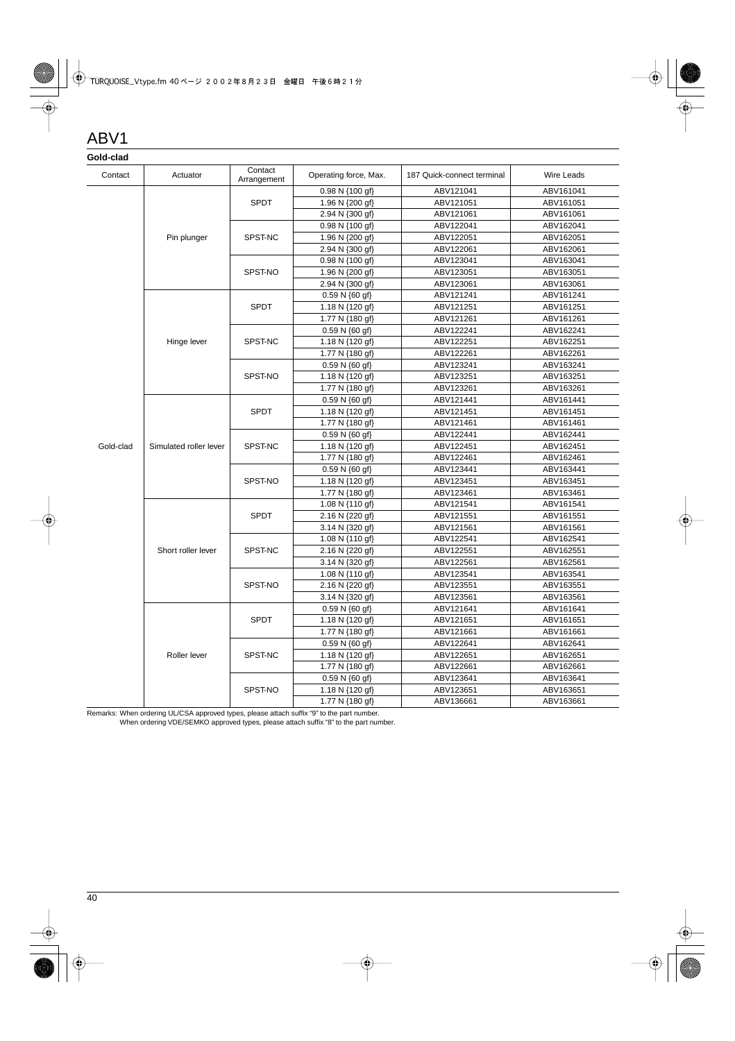# ABV1

### **Gold-clad**

| oolu-cidu |                        |                        |                             |                            |                   |
|-----------|------------------------|------------------------|-----------------------------|----------------------------|-------------------|
| Contact   | Actuator               | Contact<br>Arrangement | Operating force, Max.       | 187 Quick-connect terminal | <b>Wire Leads</b> |
|           |                        |                        | 0.98 N {100 gf}             | ABV121041                  | ABV161041         |
|           |                        | <b>SPDT</b>            | 1.96 N {200 gf}             | ABV121051                  | ABV161051         |
|           |                        |                        | 2.94 N {300 gf}             | ABV121061                  | ABV161061         |
|           |                        |                        | 0.98 N {100 gf}             | ABV122041                  | ABV162041         |
|           | Pin plunger            | SPST-NC                | 1.96 N {200 gf}             | ABV122051                  | ABV162051         |
|           |                        |                        | 2.94 N {300 gf}             | ABV122061                  | ABV162061         |
|           |                        | SPST-NO                | 0.98 N {100 gf}             | ABV123041                  | ABV163041         |
|           |                        |                        | 1.96 N {200 gf}             | ABV123051                  | ABV163051         |
|           |                        |                        | 2.94 N {300 gf}             | ABV123061                  | ABV163061         |
|           |                        |                        | 0.59 N {60 gf}              | ABV121241                  | ABV161241         |
|           |                        | <b>SPDT</b>            | 1.18 N {120 gf}             | ABV121251                  | ABV161251         |
|           |                        |                        | 1.77 N {180 gf}             | ABV121261                  | ABV161261         |
|           |                        |                        | $0.59 N \{60 gf\}$          | ABV122241                  | ABV162241         |
|           | Hinge lever            | SPST-NC                | 1.18 N {120 gf}             | ABV122251                  | ABV162251         |
|           |                        |                        | 1.77 N {180 gf}             | ABV122261                  | ABV162261         |
|           |                        |                        | 0.59 N {60 gf}              | ABV123241                  | ABV163241         |
|           |                        | SPST-NO                | 1.18 N {120 gf}             | ABV123251                  | ABV163251         |
|           |                        |                        | 1.77 N {180 gf}             | ABV123261                  | ABV163261         |
|           |                        |                        | 0.59 N {60 gf}              | ABV121441                  | ABV161441         |
|           | Simulated roller lever | <b>SPDT</b>            | 1.18 N {120 gf}             | ABV121451                  | ABV161451         |
|           |                        |                        | 1.77 N {180 gf}             | ABV121461                  | ABV161461         |
|           |                        | SPST-NC                | 0.59 N {60 gf}              | ABV122441                  | ABV162441         |
| Gold-clad |                        |                        | 1.18 N {120 gf}             | ABV122451                  | ABV162451         |
|           |                        |                        | 1.77 N {180 gf}             | ABV122461                  | ABV162461         |
|           |                        | SPST-NO                | 0.59 N {60 gf}              | ABV123441                  | ABV163441         |
|           |                        |                        | 1.18 N {120 gf}             | ABV123451                  | ABV163451         |
|           |                        |                        | 1.77 N {180 gf}             | ABV123461                  | ABV163461         |
|           |                        | <b>SPDT</b>            | 1.08 N {110 gf}             | ABV121541                  | ABV161541         |
|           |                        |                        | 2.16 N {220 gf}             | ABV121551                  | ABV161551         |
|           |                        |                        | 3.14 N {320 gf}             | ABV121561                  | ABV161561         |
|           |                        | SPST-NC                | 1.08 N {110 gf}             | ABV122541                  | ABV162541         |
|           | Short roller lever     |                        | 2.16 N {220 gf}             | ABV122551                  | ABV162551         |
|           |                        |                        | 3.14 N {320 gf}             | ABV122561                  | ABV162561         |
|           |                        |                        | 1.08 N {110 gf}             | ABV123541                  | ABV163541         |
|           |                        | SPST-NO                | 2.16 N {220 gf}             | ABV123551                  | ABV163551         |
|           |                        |                        | 3.14 N {320 gf}             | ABV123561                  | ABV163561         |
|           | Roller lever           |                        | 0.59 N {60 gf}              | ABV121641                  | ABV161641         |
|           |                        | <b>SPDT</b>            | 1.18 N {120 gf}             | ABV121651                  | ABV161651         |
|           |                        |                        | 1.77 N {180 gf}             | ABV121661                  | ABV161661         |
|           |                        |                        | 0.59 N {60 gf}              | ABV122641                  | ABV162641         |
|           |                        | SPST-NC                | 1.18 N $\{120 \text{ gf}\}$ | ABV122651                  | ABV162651         |
|           |                        |                        | 1.77 N {180 gf}             | ABV122661                  | ABV162661         |
|           |                        | SPST-NO                | $0.59 N \{60 gf\}$          | ABV123641                  | ABV163641         |
|           |                        |                        | 1.18 N {120 gf}             | ABV123651                  | ABV163651         |
|           |                        |                        | 1.77 N {180 gf}             | ABV136661                  | ABV163661         |

Remarks: When ordering UL/CSA approved types, please attach suffix "9" to the part number.

When ordering VDE/SEMKO approved types, please attach suffix "8" to the part number.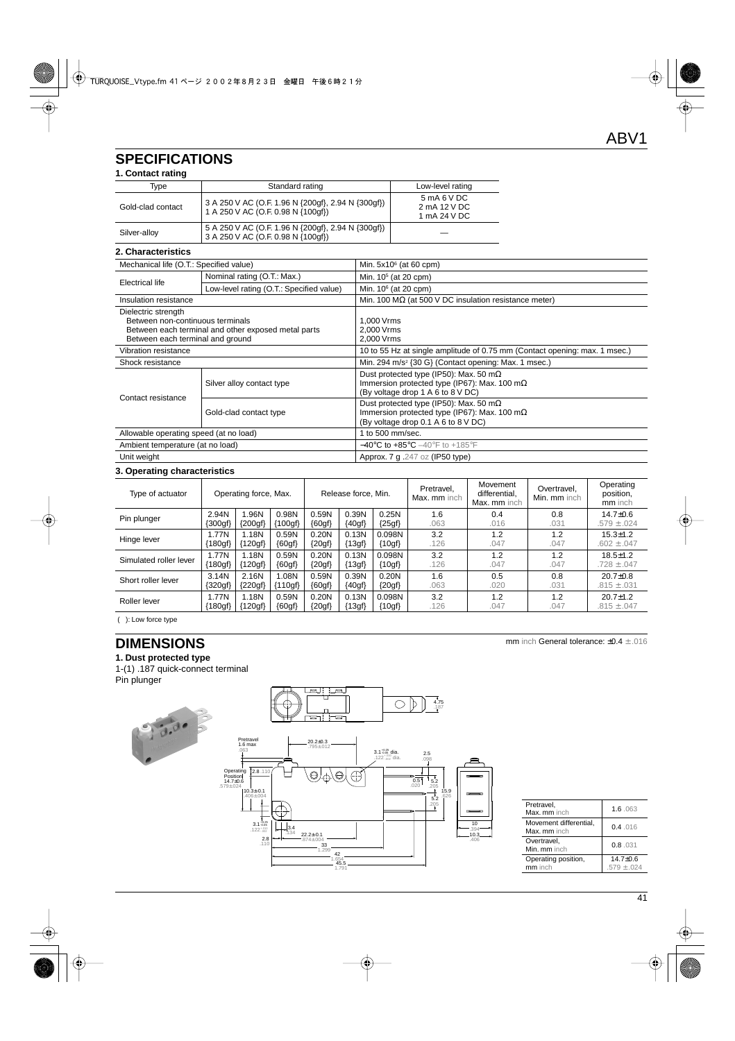# **SPECIFICATIONS**

|  | 1. Contact rating |  |
|--|-------------------|--|
|--|-------------------|--|

| Tvpe              | Standard rating                                                                          | Low-level rating                            |  |  |  |  |  |
|-------------------|------------------------------------------------------------------------------------------|---------------------------------------------|--|--|--|--|--|
| Gold-clad contact | 3 A 250 V AC (O.F. 1.96 N {200gf}, 2.94 N {300gf})<br>1 A 250 V AC (O.F. 0.98 N {100qf}) | 5 mA 6 V DC<br>2 mA 12 V DC<br>1 mA 24 V DC |  |  |  |  |  |
| Silver-alloy      | 5 A 250 V AC (O.F. 1.96 N {200gf}, 2.94 N {300gf})<br>3 A 250 V AC (O.F. 0.98 N {100qf}) |                                             |  |  |  |  |  |

#### **2. Characteristics**

| Mechanical life (O.T.: Specified value)                                                                                                            |                                          | Min. $5x10^6$ (at 60 cpm)                                                                                                                     |  |  |  |
|----------------------------------------------------------------------------------------------------------------------------------------------------|------------------------------------------|-----------------------------------------------------------------------------------------------------------------------------------------------|--|--|--|
| Electrical life                                                                                                                                    | Nominal rating (O.T.: Max.)              | Min. 10 <sup>5</sup> (at 20 cpm)                                                                                                              |  |  |  |
|                                                                                                                                                    | Low-level rating (O.T.: Specified value) | Min. $106$ (at 20 cpm)                                                                                                                        |  |  |  |
| Insulation resistance                                                                                                                              |                                          | Min. 100 M $\Omega$ (at 500 V DC insulation resistance meter)                                                                                 |  |  |  |
| Dielectric strength<br>Between non-continuous terminals<br>Between each terminal and other exposed metal parts<br>Between each terminal and ground |                                          | 1.000 Vrms<br>2,000 Vrms<br>2,000 Vrms                                                                                                        |  |  |  |
| Vibration resistance                                                                                                                               |                                          | 10 to 55 Hz at single amplitude of 0.75 mm (Contact opening: max. 1 msec.)                                                                    |  |  |  |
| Shock resistance                                                                                                                                   |                                          | Min. 294 m/s <sup>2</sup> {30 G} (Contact opening: Max. 1 msec.)                                                                              |  |  |  |
|                                                                                                                                                    | Silver alloy contact type                | Dust protected type (IP50): Max. 50 m $\Omega$<br>Immersion protected type (IP67): Max. 100 m $\Omega$<br>(By voltage drop 1 A 6 to 8 V DC)   |  |  |  |
| Contact resistance                                                                                                                                 | Gold-clad contact type                   | Dust protected type (IP50): Max. 50 m $\Omega$<br>Immersion protected type (IP67): Max. 100 m $\Omega$<br>(By voltage drop 0.1 A 6 to 8 V DC) |  |  |  |
| Allowable operating speed (at no load)                                                                                                             |                                          | 1 to 500 mm/sec.                                                                                                                              |  |  |  |
| Ambient temperature (at no load)                                                                                                                   |                                          | $-40^{\circ}$ C to $+85^{\circ}$ C $-40^{\circ}$ F to $+185^{\circ}$ F                                                                        |  |  |  |
| Unit weight                                                                                                                                        |                                          | Approx. 7 g. 247 oz (IP50 type)                                                                                                               |  |  |  |
|                                                                                                                                                    |                                          |                                                                                                                                               |  |  |  |

### **3. Operating characteristics**

| Type of actuator       | Operating force, Max. |           | Release force, Min. |          | Pretravel,<br>Max. mm inch | Movement<br>differential.<br>Max. mm inch | Overtravel.<br>Min. mm inch | Operating<br>position,<br>mm inch |      |                 |
|------------------------|-----------------------|-----------|---------------------|----------|----------------------------|-------------------------------------------|-----------------------------|-----------------------------------|------|-----------------|
| Pin plunger            | 2.94N                 | .96N      | 0.98N               | 0.59N    | 0.39N                      | 0.25N                                     | 1.6                         | 0.4                               | 0.8  | $14.7 \pm 0.6$  |
|                        | ${300gf}$             | ${200gf}$ | {100qf}             | ${60gf}$ | ${40af}$                   | ${25gf}$                                  | .063                        | .016                              | .031 | $.579 \pm .024$ |
| Hinge lever            | 1.77N                 | 1.18N     | 0.59N               | 0.20N    | 0.13N                      | 0.098N                                    | 3.2                         | 1.2                               | 1.2  | $15.3 \pm 1.2$  |
|                        | ${180gf}$             | {120gf}   | ${60gf}$            | ${20gf}$ | ${13gf}$                   | ${10gf}$                                  | .126                        | .047                              | .047 | $.602 \pm .047$ |
| Simulated roller lever | 1.77N                 | 1.18N     | 0.59N               | 0.20N    | 0.13N                      | 0.098N                                    | 3.2                         | 1.2                               | 1.2  | $18.5 \pm 1.2$  |
|                        | ${180gf}$             | {120gf}   | ${60gf}$            | ${20gf}$ | ${13gf}$                   | ${10gf}$                                  | .126                        | .047                              | .047 | $.728 \pm .047$ |
| Short roller lever     | 3.14N                 | 2.16N     | 1.08N               | 0.59N    | 0.39N                      | 0.20N                                     | 1.6                         | 0.5                               | 0.8  | $20.7 + 0.8$    |
|                        | ${320gf}$             | {220gf}   | {110gf}             | ${60gf}$ | ${40gf}$                   | ${20gf}$                                  | .063                        | .020                              | .031 | $.815 \pm .031$ |
| Roller lever           | 1.77N                 | 1.18N     | 0.59N               | 0.20N    | 0.13N                      | 0.098N                                    | 3.2                         | 1.2                               | 1.2  | $20.7 + 1.2$    |
|                        | ${180gf}$             | ${120gf}$ | ${60gf}$            | ${20gf}$ | ${13gf}$                   | ${10gf}$                                  | .126                        | .047                              | .047 | $.815 \pm .047$ |

( ): Low force type

# **DIMENSIONS**

**1. Dust protected type** 1-(1) .187 quick-connect terminal Pin plunger



| Pretravel,<br>Max mm inch              | 1.6.063                     |
|----------------------------------------|-----------------------------|
| Movement differential,<br>Max. mm inch | 0.4.016                     |
| Overtravel.<br>Min. mm inch            | 0.8.031                     |
| Operating position,<br>mm inch         | $14.7 + 0.6$<br>$579 + 024$ |

mm inch General tolerance: ±0.4 ± .016